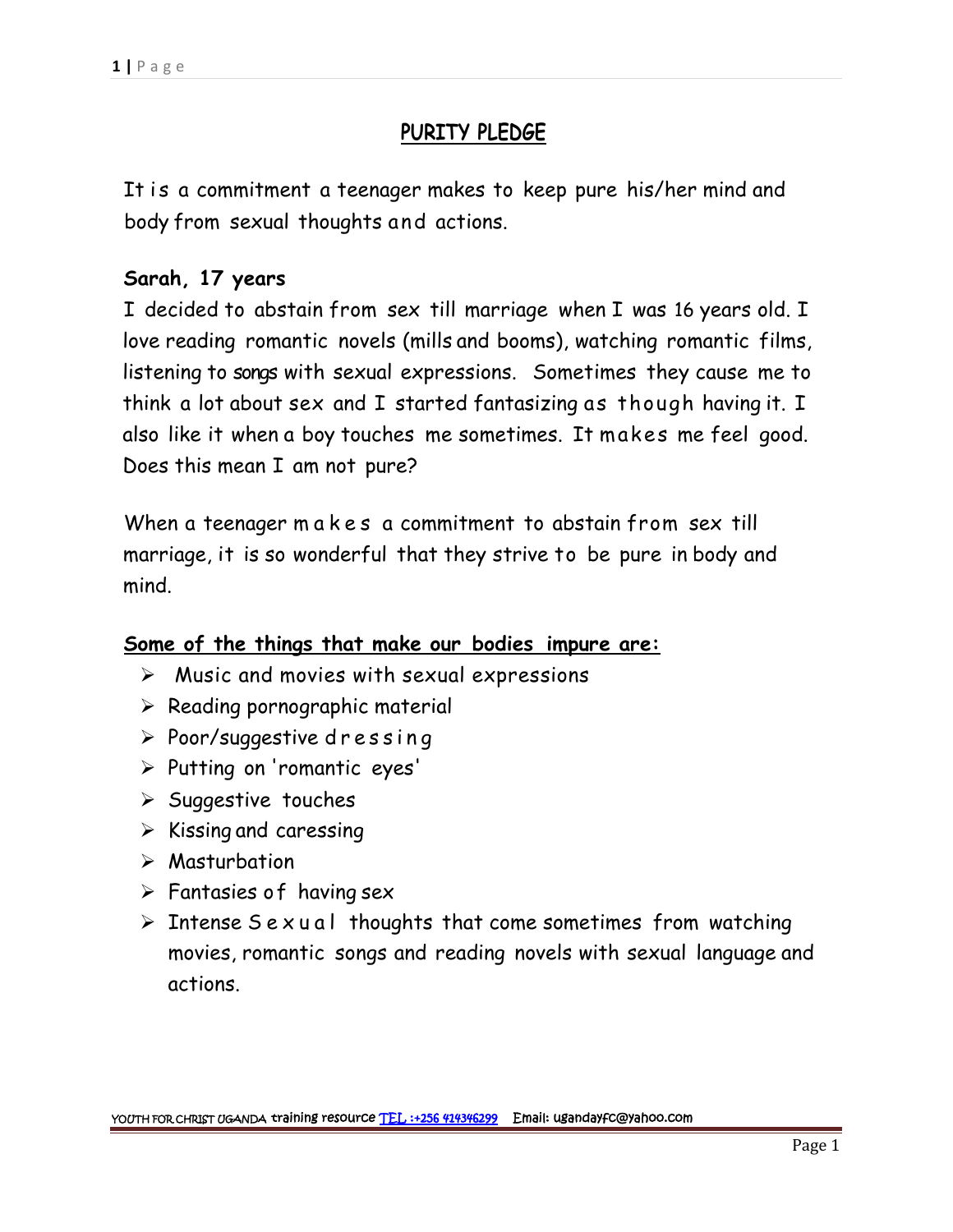# **PURITY PLEDGE**

1|Page<br>PURITY PLEDGE<br>It is a commitment a teenager makes to keep pure his/her mind and body from sexual thoughts and actions.

### **Sarah, 17 years**

I decided to abstain from sex till marriage when I was 16 years old. I love reading romantic novels (mills and booms), watching romantic films, listening to songs with sexual expressions. Sometimes they cause me to think a lot about sex and I started fantasizing as though having it. I also like it when a boy touches me sometimes. It makes me feel good. Does this mean I am not pure? think a lot about sex and I started fantasizing as though having it. I<br>also like it when a boy touches me sometimes. It makes me feel good.<br>Does this mean I am not pure?<br>When a teenager m a k e s a commitment to abstain fr

marriage, it is so wonderful that they strive to be pure in body and mind.

#### **Some of the things that make our bodies impure are:**

- $\triangleright$  Music and movies with sexual expressions ome of the things that make our bodies impu<br>→ Music and movies with sexual expressions<br>→ Reading pornographic material<br>→ Poor/suggestive dressing<br>→ Putting on 'romantic eyes'
- $\triangleright$  Reading pornographic material
- 
- Putting on 'romantic eyes'
- $\triangleright$  Suggestive touches
- $\triangleright$  Kissing and caressing
- Masturbation
- $\triangleright$  Fantasies of having sex
- $\triangleright$  Intense Sexual thoughts that come sometimes from watching movies, romantic songs and reading novels with sexual language and actions.